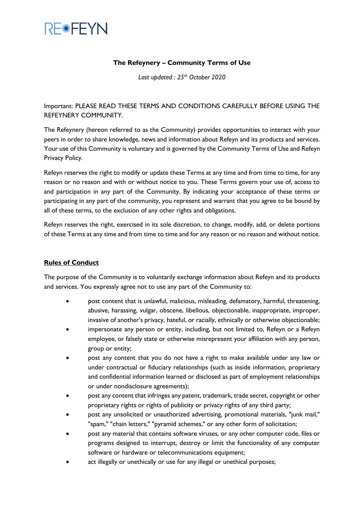

## **The Refeynery – Community Terms of Use**

*Last updated : 25th October 2020*

Important: PLEASE READ THESE TERMS AND CONDITIONS CAREFULLY BEFORE USING THE REFEYNERY COMMUNITY.

The Refeynery (hereon referred to as the Community) provides opportunities to interact with your peers in order to share knowledge, news and information about Refeyn and its products and services. Your use of this Community is voluntary and is governed by the Community Terms of Use and Refeyn Privacy Policy.

Refeyn reserves the right to modify or update these Terms at any time and from time to time, for any reason or no reason and with or without notice to you. These Terms govern your use of, access to and participation in any part of the Community. By indicating your acceptance of these terms or participating in any part of the community, you represent and warrant that you agree to be bound by all of these terms, to the exclusion of any other rights and obligations.

Refeyn reserves the right, exercised in its sole discretion, to change, modify, add, or delete portions of these Terms at any time and from time to time and for any reason or no reason and without notice.

## **Rules of Conduct**

The purpose of the Community is to voluntarily exchange information about Refeyn and its products and services. You expressly agree not to use any part of the Community to:

- post content that is unlawful, malicious, misleading, defamatory, harmful, threatening, abusive, harassing, vulgar, obscene, libellous, objectionable, inappropriate, improper, invasive of another's privacy, hateful, or racially, ethnically or otherwise objectionable;
- impersonate any person or entity, including, but not limited to, Refeyn or a Refeyn employee, or falsely state or otherwise misrepresent your affiliation with any person, group or entity;
- post any content that you do not have a right to make available under any law or under contractual or fiduciary relationships (such as inside information, proprietary and confidential information learned or disclosed as part of employment relationships or under nondisclosure agreements);
- post any content that infringes any patent, trademark, trade secret, copyright or other proprietary rights or rights of publicity or privacy rights of any third party;
- post any unsolicited or unauthorized advertising, promotional materials, "junk mail," "spam," "chain letters," "pyramid schemes," or any other form of solicitation;
- post any material that contains software viruses, or any other computer code, files or programs designed to interrupt, destroy or limit the functionality of any computer software or hardware or telecommunications equipment;
- act illegally or unethically or use for any illegal or unethical purposes;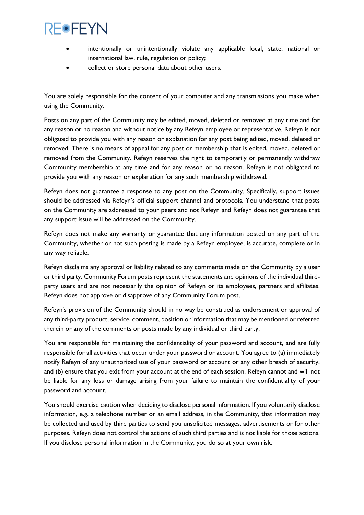## **REOFEYN**

- intentionally or unintentionally violate any applicable local, state, national or international law, rule, regulation or policy;
- collect or store personal data about other users.

You are solely responsible for the content of your computer and any transmissions you make when using the Community.

Posts on any part of the Community may be edited, moved, deleted or removed at any time and for any reason or no reason and without notice by any Refeyn employee or representative. Refeyn is not obligated to provide you with any reason or explanation for any post being edited, moved, deleted or removed. There is no means of appeal for any post or membership that is edited, moved, deleted or removed from the Community. Refeyn reserves the right to temporarily or permanently withdraw Community membership at any time and for any reason or no reason. Refeyn is not obligated to provide you with any reason or explanation for any such membership withdrawal.

Refeyn does not guarantee a response to any post on the Community. Specifically, support issues should be addressed via Refeyn's official support channel and protocols. You understand that posts on the Community are addressed to your peers and not Refeyn and Refeyn does not guarantee that any support issue will be addressed on the Community.

Refeyn does not make any warranty or guarantee that any information posted on any part of the Community, whether or not such posting is made by a Refeyn employee, is accurate, complete or in any way reliable.

Refeyn disclaims any approval or liability related to any comments made on the Community by a user or third party. Community Forum posts represent the statements and opinions of the individual thirdparty users and are not necessarily the opinion of Refeyn or its employees, partners and affiliates. Refeyn does not approve or disapprove of any Community Forum post.

Refeyn's provision of the Community should in no way be construed as endorsement or approval of any third-party product, service, comment, position or information that may be mentioned or referred therein or any of the comments or posts made by any individual or third party.

You are responsible for maintaining the confidentiality of your password and account, and are fully responsible for all activities that occur under your password or account. You agree to (a) immediately notify Refeyn of any unauthorized use of your password or account or any other breach of security, and (b) ensure that you exit from your account at the end of each session. Refeyn cannot and will not be liable for any loss or damage arising from your failure to maintain the confidentiality of your password and account.

You should exercise caution when deciding to disclose personal information. If you voluntarily disclose information, e.g. a telephone number or an email address, in the Community, that information may be collected and used by third parties to send you unsolicited messages, advertisements or for other purposes. Refeyn does not control the actions of such third parties and is not liable for those actions. If you disclose personal information in the Community, you do so at your own risk.